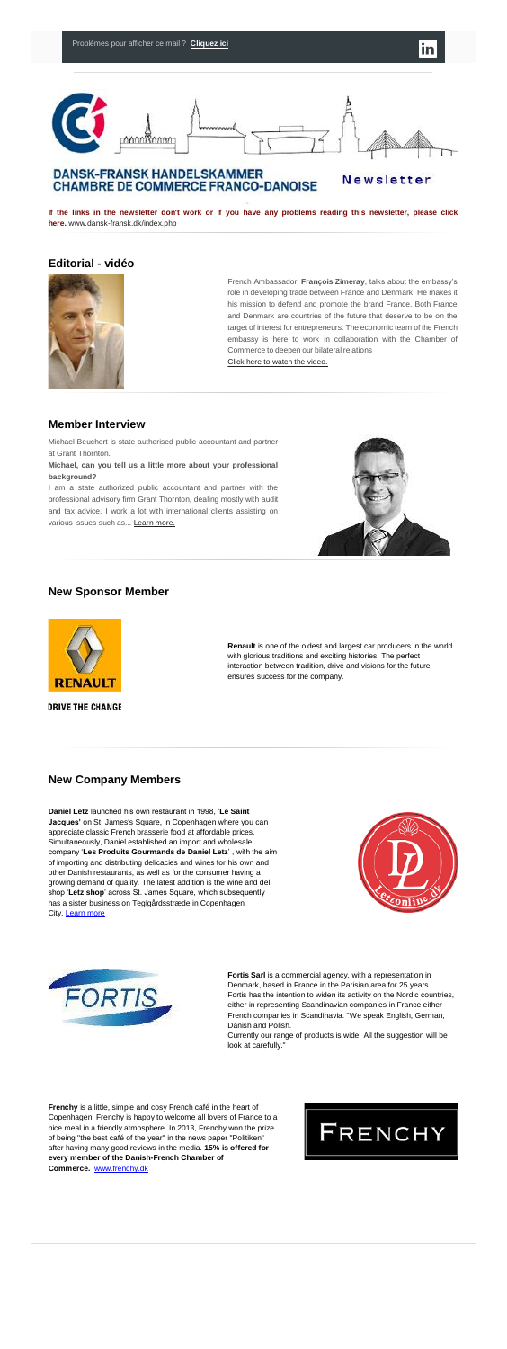

#### **DANSK-FRANSK HANDELSKAMMER CHAMBRE DE COMMERCE FRANCO-DANOISE**

#### Newsletter

**If the links in the newsletter don't work or if you have any problems reading this newsletter, please click here.** [www.dansk-fransk.dk/index.php](http://www.dansk-fransk.dk/index.php?id=31086)

#### **Editorial - vidéo**



I am a state authorized public accountant and partner with the professional advisory firm Grant Thornton, dealing mostly with audit and tax advice. I work a lot with international clients assisting on various issues such as... [Learn more.](http://admin.uccife.org/?id=31092)



French Ambassador, **François Zimeray**, talks about the embassy's role in developing trade between France and Denmark. He makes it his mission to defend and promote the brand France. Both France and Denmark are countries of the future that deserve to be on the target of interest for entrepreneurs. The economic team of the French embassy is here to work in collaboration with the Chamber of Commerce to deepen our bilateral relations [Click here to watch the video.](http://admin.uccife.org/?id=31084)

#### **Member Interview**

Michael Beuchert is state authorised public accountant and partner at Grant Thornton.

#### **Michael, can you tell us a little more about your professional background?**

#### **New Sponsor Member**



**DRIVE THE CHANGE** 

**Renault** is one of the oldest and largest car producers in the world with glorious traditions and exciting histories. The perfect interaction between tradition, drive and visions for the future ensures success for the company.

#### **New Company Members**

**Daniel Letz** launched his own restaurant in 1998, '**Le Saint Jacques'** on St. James's Square, in Copenhagen where you can appreciate classic French brasserie food at affordable prices. Simultaneously, Daniel established an import and wholesale company '**Les Produits Gourmands de Daniel Letz**' , with the aim of importing and distributing delicacies and wines for his own and other Danish restaurants, as well as for the consumer having a growing demand of quality. The latest addition is the wine and deli shop '**Letz shop**' across St. James Square, which subsequently has a sister business on Teglgårdsstræde in Copenhagen City. [Learn more](http://admin.uccife.org/?id=31145)





**Fortis Sarl** is a commercial agency, with a representation in Denmark, based in France in the Parisian area for 25 years. Fortis has the intention to widen its activity on the Nordic countries, either in representing Scandinavian companies in France either French companies in Scandinavia. "We speak English, German, Danish and Polish.

Currently our range of products is wide. All the suggestion will be look at carefully."

**Frenchy** is a little, simple and cosy French café in the heart of Copenhagen. Frenchy is happy to welcome all lovers of France to a nice meal in a friendly atmosphere. In 2013, Frenchy won the prize of being "the best café of the year" in the news paper "Politiken" after having many good reviews in the media. **15% is offered for every member of the Danish-French Chamber of Commerce.** [www.frenchy.dk](http://www.frenchy.dk/)

## FRENCHY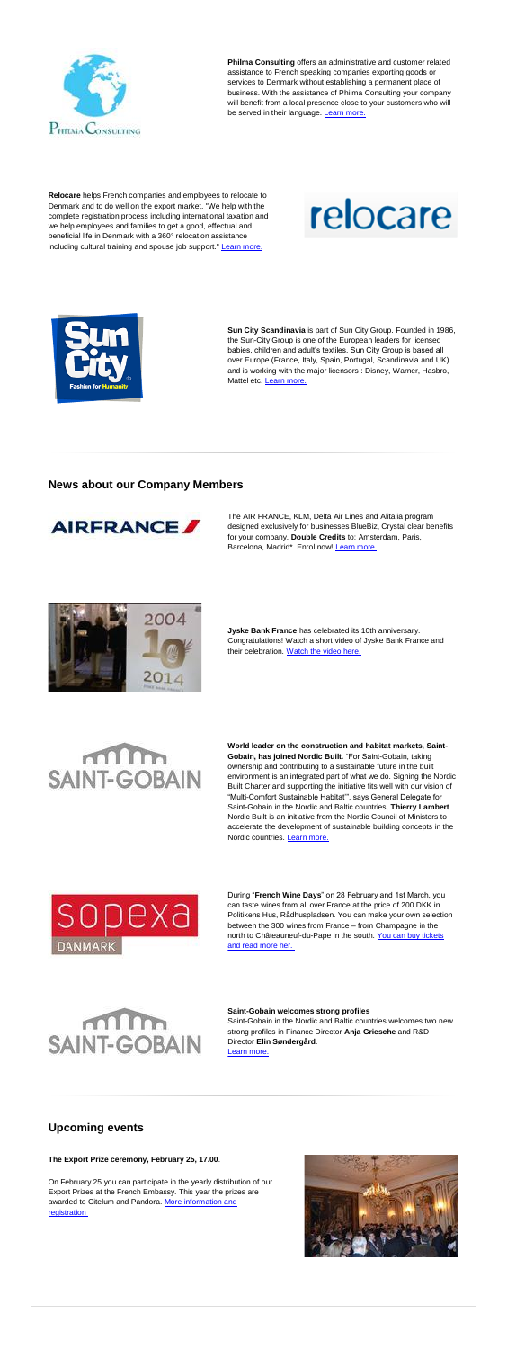

**Philma Consulting** offers an administrative and customer related assistance to French speaking companies exporting goods or services to Denmark without establishing a permanent place of business. With the assistance of Philma Consulting your company will benefit from a local presence close to your customers who will be served in their language. [Learn more.](http://admin.uccife.org/?id=31100)

**Relocare** helps French companies and employees to relocate to Denmark and to do well on the export market. "We help with the complete registration process including international taxation and we help employees and families to get a good, effectual and beneficial life in Denmark with a 360° relocation assistance including cultural training and spouse job support." [Learn more.](http://admin.uccife.org/?id=31099)

# relocare



The AIR FRANCE, KLM, Delta Air Lines and Alitalia program designed exclusively for businesses BlueBiz, Crystal clear benefits for your company. **Double Credits** to: Amsterdam, Paris, Barcelona, Madrid\*. Enrol now! [Learn more.](http://admin.uccife.org/fileadmin/template/danemark/docs/E-flyer_BB_DK_B2B_Double_Credits_Jan14.pdf)



**Jyske Bank France** has celebrated its 10th anniversary. Congratulations! Watch a short video of Jyske Bank France and their celebration. [Watch the video here.](http://en.jyskebank.tv/013903942951060/try-a-different-banking-experience-in-jyske-bank-france)



**World leader on the construction and habitat markets, Saint-Gobain, has joined Nordic Built.** "For Saint-Gobain, taking ownership and contributing to a sustainable future in the built environment is an integrated part of what we do. Signing the Nordic Built Charter and supporting the initiative fits well with our vision of "Multi-Comfort Sustainable Habitat'", says General Delegate for Saint-Gobain in the Nordic and Baltic countries, **Thierry Lambert**. Nordic Built is an initiative from the Nordic Council of Ministers to accelerate the development of sustainable building concepts in the Nordic countries. [Learn more.](http://admin.uccife.org/?id=31285)

## **SAINT-GOBAIN**



**Sun City Scandinavia** is part of Sun City Group. Founded in 1986, the Sun-City Group is one of the European leaders for licensed babies, children and adult's textiles. Sun City Group is based all over Europe (France, Italy, Spain, Portugal, Scandinavia and UK) and is working with the major licensors : Disney, Warner, Hasbro, Mattel etc. [Learn more.](http://admin.uccife.org/?id=31144)

During "**French Wine Days**" on 28 February and 1st March, you can taste wines from all over France at the price of 200 DKK in Politikens Hus, Rådhuspladsen. You can make your own selection between the 300 wines from France – from Champagne in the north to Châteauneuf-du-Pape in the south. [You can buy tickets](http://admin.uccife.org/?id=31257)  [and read more her.](http://admin.uccife.org/?id=31257)

### $m m$ **SAINT-GOBAIN**

#### **News about our Company Members**



On February 25 you can participate in the yearly distribution of our Export Prizes at the French Embassy. This year the prizes are awarded to Citelum and Pandora. More information and **[registration](record:tx_obladycal_event:12212)** 



#### **Saint-Gobain welcomes strong profiles**

Saint-Gobain in the Nordic and Baltic countries welcomes two new strong profiles in Finance Director **Anja Griesche** and R&D Director **Elin Søndergård**. [Learn more.](http://admin.uccife.org/?id=31286)

#### **Upcoming events**

**The Export Prize ceremony, February 25, 17.00**.